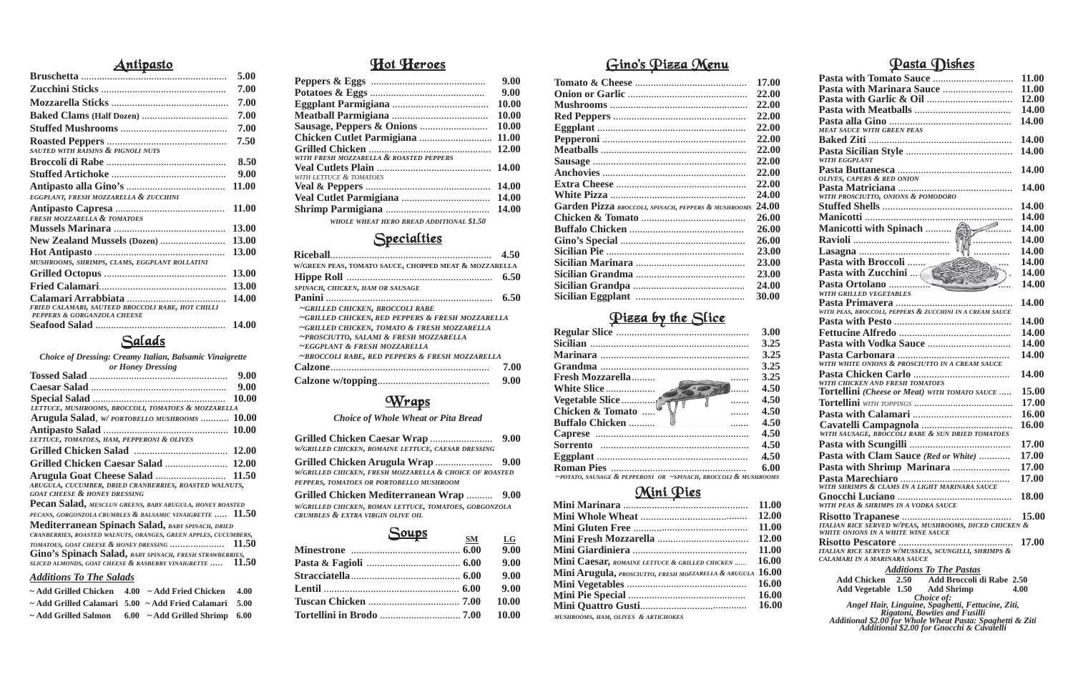|  | 9.00 |
|--|------|
|  | 9.00 |
|  |      |
|  |      |
|  |      |

# Specialties

| W/GRILLED CHICKEN, ROMAINE LETTUCE, CAESAR DRESSING                                                                                     | 9.00       |
|-----------------------------------------------------------------------------------------------------------------------------------------|------------|
| W/GRILLED CHICKEN, FRESH MOZZARELLA & CHOICE OF ROASTED<br>PEPPERS, TOMATOES OR PORTOBELLO MUSHROOM                                     |            |
| Grilled Chicken Mediterranean Wrap  9.00<br>W/GRILLED CHICKEN, ROMAN LETTUCE, TOMATOES, GORGONZOLA<br>CRUMBLES & EXTRA VIRGIN OLIVE OIL |            |
| <u>Soups</u><br>$\mathbf{S}\mathbf{M}$                                                                                                  | LG<br>9.00 |
| Pasta & Fagioli (1996) 6.00                                                                                                             | 9.00       |

*Choice of Whole Wheat or Pita Bread*

### Hot Heroes

|                                                       | 4.50 |
|-------------------------------------------------------|------|
| W/GREEN PEAS, TOMATO SAUCE, CHOPPED MEAT & MOZZARELLA |      |
|                                                       | 6.50 |
| SPINACH, CHICKEN, HAM OR SAUSAGE                      |      |
|                                                       | 6.50 |
| ~GRILLED CHICKEN, BROCCOLI RABE                       |      |
| ~GRILLED CHICKEN, RED PEPPERS & FRESH MOZZARELLA      |      |
| ~GRILLED CHICKEN, TOMATO & FRESH MOZZARELLA           |      |
| ~PROSCIUTTO, SALAMI & FRESH MOZZARELLA                |      |
| $\sim$ EGGPLANT & FRESH MOZZARELLA                    |      |
| ~BROCCOLI RABE, RED PEPPERS & FRESH MOZZARELLA        |      |
|                                                       | 7.00 |
|                                                       | 9.00 |

# **Wraps**

|                                         | 9.00         |
|-----------------------------------------|--------------|
|                                         | 9.00         |
|                                         | 10.00        |
|                                         | 10.00        |
|                                         | 10.00        |
|                                         | <b>11.00</b> |
|                                         | 12.00        |
| WITH FRESH MOZZARELLA & ROASTED PEPPERS |              |
|                                         |              |
| WITH LETTUCE & TOMATOES                 |              |
|                                         | <b>14.00</b> |
|                                         | <b>14.00</b> |
|                                         | 14.00        |
|                                         |              |

*WHOLE WHEAT HERO BREAD ADDITIONAL \$1.50*

# Antipasto 5.00

|                                                                                  | 5.00         |
|----------------------------------------------------------------------------------|--------------|
|                                                                                  | 7.00         |
|                                                                                  | 7.00         |
|                                                                                  | 7.00         |
|                                                                                  | 7.00         |
| SAUTED WITH RAISINS & PIGNOLI NUTS                                               | 7.50         |
|                                                                                  | 8.50         |
|                                                                                  | 9.00         |
|                                                                                  | 11.00        |
| EGGPLANT, FRESH MOZZARELLA & ZUCCHINI                                            |              |
|                                                                                  | <b>11.00</b> |
| <b>FRESH MOZZARELLA &amp; TOMATOES</b>                                           |              |
|                                                                                  | 13.00        |
| New Zealand Mussels (Dozen)                                                      | <b>13.00</b> |
|                                                                                  | 13.00        |
| MUSHROOMS, SHRIMPS, CLAMS, EGGPLANT ROLLATINI                                    |              |
|                                                                                  | <b>13.00</b> |
|                                                                                  | 13.00        |
| FRIED CALAMARI, SAUTEED BROCCOLI RABE, HOT CHILLI<br>PEPPERS & GORGANZOLA CHEESE | 14.00        |
|                                                                                  | <b>14.00</b> |
|                                                                                  |              |

#### Salads

*Choice of Dressing: Creamy Italian, Balsamic Vinaigrette or Honey Dressing*

| <i>UI HURUY DI USSIN</i> S                                      |              |
|-----------------------------------------------------------------|--------------|
|                                                                 | 9.00         |
|                                                                 | 9.00         |
|                                                                 | 10.00        |
| LETTUCE, MUSHROOMS, BROCCOLI, TOMATOES & MOZZARELLA             |              |
| Arugula Salad, W/PORTOBELLO MUSHROOMS                           | <b>10.00</b> |
|                                                                 | <b>10.00</b> |
| LETTUCE, TOMATOES, HAM, PEPPERONI & OLIVES                      |              |
|                                                                 |              |
|                                                                 | 12.00        |
|                                                                 | 11.50        |
| ARUGULA, CUCUMBER, DRIED CRANBERRIES, ROASTED WALNUTS,          |              |
| <b>GOAT CHEESE &amp; HONEY DRESSING</b>                         |              |
| Pecan Salad, MESCLUN GREENS, BABY ARUGULA, HONEY ROASTED        |              |
| PECANS, GORGONZOLA CRUMBLES & BALSAMIC VINAIGRETTE  11.50       |              |
| Mediterranean Spinach Salad, BABY SPINACH, DRIED                |              |
| CRANBERRIES, ROASTED WALNUTS, ORANGES, GREEN APPLES, CUCUMBERS, |              |
| TOMATOES, GOAT CHEESE & HONEY DRESSING  11.50                   |              |
| Gino's Spinach Salad, BABY SPINACH, FRESH STRAWBERRIES,         |              |
| SLICED ALMONDS, GOAT CHEESE & RASBERRY VINAIGRETTE              | 11.50        |
|                                                                 |              |

| <b>Additions To The Salads</b> |  |  |
|--------------------------------|--|--|
|                                |  |  |

| $\sim$ Add Grilled Chicken                                      | $4.00 \sim$ Add Fried Chicken              | 4.00 |
|-----------------------------------------------------------------|--------------------------------------------|------|
| $\sim$ Add Grilled Calamari 5.00 $\sim$ Add Fried Calamari 5.00 |                                            |      |
| ~ Add Grilled Salmon                                            | $6.00 \sim \text{Add Grilled Shrimp}$ 6.00 |      |

#### Pasta Dishes

|                                                                                                        | 11.00        |
|--------------------------------------------------------------------------------------------------------|--------------|
|                                                                                                        | 11.00        |
|                                                                                                        | 12.00        |
|                                                                                                        | 14.00        |
|                                                                                                        | 14.00        |
| <b>MEAT SAUCE WITH GREEN PEAS</b>                                                                      |              |
|                                                                                                        | 14.00        |
|                                                                                                        | 14.00        |
| <b>WITH EGGPLANT</b>                                                                                   |              |
|                                                                                                        | 14.00        |
| OLIVES, CAPERS & RED ONION                                                                             | 14.00        |
| WITH PROSCIUTTO, ONIONS & POMODORO                                                                     |              |
|                                                                                                        | 14.00        |
|                                                                                                        | 14.00        |
|                                                                                                        | 14.00        |
|                                                                                                        | 14.00        |
|                                                                                                        | 14.00        |
|                                                                                                        |              |
| Pasta with Broccoli<br>Pasta with Zucchini  (                                                          | 14.00        |
|                                                                                                        | 14.00        |
|                                                                                                        | 14.00        |
| WITH GRILLED VEGETABLES                                                                                | 14.00        |
| WITH PEAS, BROCCOLI, PEPPERS & ZUCCHINI IN A CREAM SAUCE                                               |              |
|                                                                                                        | 14.00        |
|                                                                                                        | 14.00        |
|                                                                                                        | 14.00        |
|                                                                                                        | 14.00        |
| WITH WHITE ONIONS & PROSCIUTTO IN A CREAM SAUCE                                                        |              |
|                                                                                                        | 14.00        |
| WITH CHICKEN AND FRESH TOMATOES                                                                        |              |
| <b>Tortellini</b> (Cheese or Meat) WITH TOMATO SAUCE                                                   | 15.00        |
|                                                                                                        | 17.00        |
|                                                                                                        | 16.00        |
|                                                                                                        | 16.00        |
| WITH SAUSAGE, BROCCOLI RABE & SUN DRIED TOMATOES                                                       |              |
|                                                                                                        | 17.00        |
| Pasta with Clam Sauce (Red or White)                                                                   | 17.00        |
| Pasta with Shrimp Marinara                                                                             | 17.00        |
|                                                                                                        | 17.00        |
| WITH SHRIMPS & CLAMS IN A LIGHT MARINARA SAUCE                                                         |              |
|                                                                                                        |              |
| WITH PEAS & SHRIMPS IN A VODKA SAUCE                                                                   |              |
|                                                                                                        | <b>15.00</b> |
| ITALIAN RICE SERVED W/PEAS, MUSHROOMS, DICED CHICKEN &<br>WHITE ONIONS IN A WHITE WINE SAUCE           |              |
|                                                                                                        | 17.00        |
| ITALIAN RICE SERVED W/MUSSELS, SCUNGILLI, SHRIMPS &                                                    |              |
| CALAMARI IN A MARINARA SAUCE                                                                           |              |
| <b>Additions To The Pastas</b>                                                                         |              |
| 2.50 Add Broccoli di Rabe 2.50<br>Add Chicken                                                          |              |
| Add Vegetable 1.50 Add Shrimp                                                                          | 4.00         |
| Choice of:<br>Angel Hair, Linguine, Spaghetti, Fettucine, Ziti,                                        |              |
| <b>Rigatoni, Bowties and Fusilli</b>                                                                   |              |
| Additional \$2.00 for Whole Wheat Pasta: Spaghetti & Ziti<br>Additional \$2.00 for Gnocchi & Cavatelli |              |
|                                                                                                        |              |

|                                                      | 11.00        |
|------------------------------------------------------|--------------|
|                                                      | 12.00        |
|                                                      | 11.00        |
|                                                      | 12.00        |
|                                                      | 11.00        |
| Mini Caesar, ROMAINE LETTUCE & GRILLED CHICKEN       | 16.00        |
| Mini Arugula, PROSCIUTTO, FRESH MOZZARELLA & ARUGULA | <b>16.00</b> |
|                                                      | 16.00        |
|                                                      | 16.00        |
|                                                      | <b>16.00</b> |
| MUSHROOMS, HAM, OLIVES & ARTICHOKES                  |              |

#### Pizza by the Slice

|                                                                | 3.00 |
|----------------------------------------------------------------|------|
|                                                                | 3.25 |
|                                                                | 3.25 |
|                                                                | 3.25 |
| <b>Fresh Mozzarella</b>                                        | 3.25 |
| $\bullet$                                                      | 4.50 |
| $\overline{\phantom{a}}$                                       | 4.50 |
| Chicken & Tomato<br>$\cdots$                                   | 4.50 |
|                                                                | 4.50 |
|                                                                | 4.50 |
|                                                                | 4.50 |
|                                                                | 4.50 |
|                                                                | 6.00 |
| ~POTATO, SAUSAGE & PEPPERONI OR ~SPINACH, BROCCOLI & MUSHROOMS |      |

#### Mini Pies

# Gino's Pizza Menu

|                                                     | 17.00 |
|-----------------------------------------------------|-------|
|                                                     | 22.00 |
|                                                     | 22.00 |
|                                                     | 22.00 |
|                                                     | 22.00 |
|                                                     | 22.00 |
|                                                     | 22.00 |
|                                                     | 22.00 |
|                                                     | 22.00 |
|                                                     | 22.00 |
|                                                     | 24.00 |
| Garden Pizza BROCCOLI, SPINACH, PEPPERS & MUSHROOMS | 24.00 |
|                                                     | 26.00 |
|                                                     | 26.00 |
|                                                     | 26.00 |
|                                                     | 23.00 |
|                                                     | 23.00 |
|                                                     | 23.00 |
|                                                     | 24.00 |
|                                                     | 30.00 |
|                                                     |       |